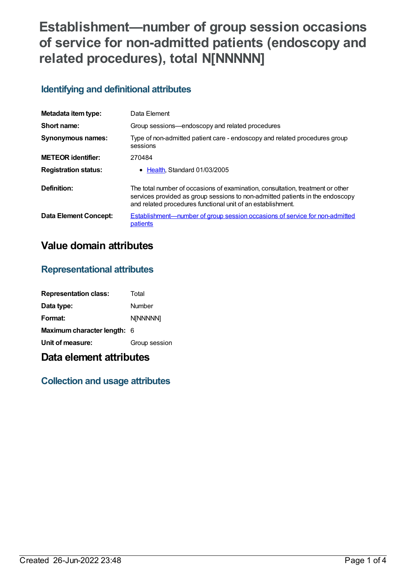# **Establishment—number of group session occasions of service for non-admitted patients (endoscopy and related procedures), total N[NNNNN]**

## **Identifying and definitional attributes**

| Metadata item type:          | Data Element                                                                                                                                                                                                                   |
|------------------------------|--------------------------------------------------------------------------------------------------------------------------------------------------------------------------------------------------------------------------------|
| Short name:                  | Group sessions—endoscopy and related procedures                                                                                                                                                                                |
| Synonymous names:            | Type of non-admitted patient care - endoscopy and related procedures group<br>sessions                                                                                                                                         |
| <b>METEOR</b> identifier:    | 270484                                                                                                                                                                                                                         |
| <b>Registration status:</b>  | $\bullet$ Health. Standard 01/03/2005                                                                                                                                                                                          |
| Definition:                  | The total number of occasions of examination, consultation, treatment or other<br>services provided as group sessions to non-admitted patients in the endoscopy<br>and related procedures functional unit of an establishment. |
| <b>Data Element Concept:</b> | Establishment—number of group session occasions of service for non-admitted<br>patients                                                                                                                                        |

## **Value domain attributes**

### **Representational attributes**

| <b>Representation class:</b> | Total         |
|------------------------------|---------------|
| Data type:                   | Number        |
| Format:                      | N[NNNNN]      |
| Maximum character length: 6  |               |
| Unit of measure:             | Group session |

## **Data element attributes**

## **Collection and usage attributes**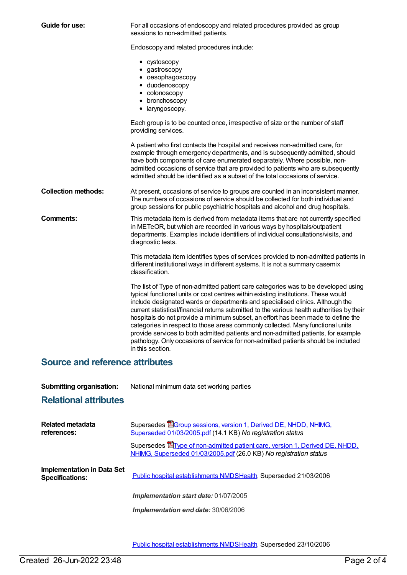| Guide for use:             | For all occasions of endoscopy and related procedures provided as group<br>sessions to non-admitted patients.                                                                                                                                                                                                                                                                                                                                                                                                                                                                                                                                                                                                               |
|----------------------------|-----------------------------------------------------------------------------------------------------------------------------------------------------------------------------------------------------------------------------------------------------------------------------------------------------------------------------------------------------------------------------------------------------------------------------------------------------------------------------------------------------------------------------------------------------------------------------------------------------------------------------------------------------------------------------------------------------------------------------|
|                            | Endoscopy and related procedures include:                                                                                                                                                                                                                                                                                                                                                                                                                                                                                                                                                                                                                                                                                   |
|                            | • cystoscopy<br>• gastroscopy<br>• oesophagoscopy<br>· duodenoscopy<br>• colonoscopy<br>• bronchoscopy<br>• laryngoscopy.                                                                                                                                                                                                                                                                                                                                                                                                                                                                                                                                                                                                   |
|                            | Each group is to be counted once, irrespective of size or the number of staff<br>providing services.                                                                                                                                                                                                                                                                                                                                                                                                                                                                                                                                                                                                                        |
|                            | A patient who first contacts the hospital and receives non-admitted care, for<br>example through emergency departments, and is subsequently admitted, should<br>have both components of care enumerated separately. Where possible, non-<br>admitted occasions of service that are provided to patients who are subsequently<br>admitted should be identified as a subset of the total occasions of service.                                                                                                                                                                                                                                                                                                                |
| <b>Collection methods:</b> | At present, occasions of service to groups are counted in an inconsistent manner.<br>The numbers of occasions of service should be collected for both individual and<br>group sessions for public psychiatric hospitals and alcohol and drug hospitals.                                                                                                                                                                                                                                                                                                                                                                                                                                                                     |
| <b>Comments:</b>           | This metadata item is derived from metadata items that are not currently specified<br>in METeOR, but which are recorded in various ways by hospitals/outpatient<br>departments. Examples include identifiers of individual consultations/visits, and<br>diagnostic tests.                                                                                                                                                                                                                                                                                                                                                                                                                                                   |
|                            | This metadata item identifies types of services provided to non-admitted patients in<br>different institutional ways in different systems. It is not a summary casemix<br>classification.                                                                                                                                                                                                                                                                                                                                                                                                                                                                                                                                   |
|                            | The list of Type of non-admitted patient care categories was to be developed using<br>typical functional units or cost centres within existing institutions. These would<br>include designated wards or departments and specialised clinics. Although the<br>current statistical/financial returns submitted to the various health authorities by their<br>hospitals do not provide a minimum subset, an effort has been made to define the<br>categories in respect to those areas commonly collected. Many functional units<br>provide services to both admitted patients and non-admitted patients, for example<br>pathology. Only occasions of service for non-admitted patients should be included<br>in this section. |

## **Source and reference attributes**

| <b>Submitting organisation:</b> | National minimum data set working parties |
|---------------------------------|-------------------------------------------|
|---------------------------------|-------------------------------------------|

#### **Relational attributes**

| <b>Related metadata</b><br>references:                      | Supersedes <b>B</b> Group sessions, version 1, Derived DE, NHDD, NHIMG,<br>Superseded 01/03/2005.pdf (14.1 KB) No registration status                    |
|-------------------------------------------------------------|----------------------------------------------------------------------------------------------------------------------------------------------------------|
|                                                             | Supersedes <b>E</b> Type of non-admitted patient care, version 1, Derived DE, NHDD,<br>NHIMG, Superseded 01/03/2005.pdf (26.0 KB) No registration status |
| <b>Implementation in Data Set</b><br><b>Specifications:</b> | Public hospital establishments NMDSHealth, Superseded 21/03/2006                                                                                         |
|                                                             | Implementation start date: 01/07/2005                                                                                                                    |
|                                                             | Implementation end date: 30/06/2006                                                                                                                      |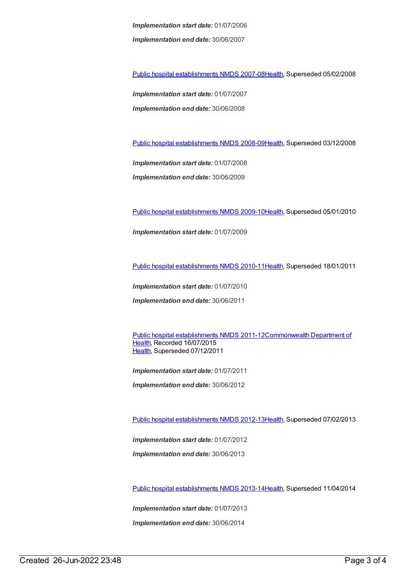*Implementation start date:* 01/07/2006 *Implementation end date:* 30/06/2007

Public hospital [establishments](https://meteor.aihw.gov.au/content/345139) NMDS 2007-08[Health](https://meteor.aihw.gov.au/RegistrationAuthority/12), Superseded 05/02/2008

*Implementation start date:* 01/07/2007 *Implementation end date:* 30/06/2008

Public hospital [establishments](https://meteor.aihw.gov.au/content/362302) NMDS 2008-09[Health](https://meteor.aihw.gov.au/RegistrationAuthority/12), Superseded 03/12/2008

*Implementation start date:* 01/07/2008 *Implementation end date:* 30/06/2009

Public hospital [establishments](https://meteor.aihw.gov.au/content/374924) NMDS 2009-10[Health](https://meteor.aihw.gov.au/RegistrationAuthority/12), Superseded 05/01/2010

*Implementation start date:* 01/07/2009

Public hospital [establishments](https://meteor.aihw.gov.au/content/386794) NMDS 2010-11[Health](https://meteor.aihw.gov.au/RegistrationAuthority/12), Superseded 18/01/2011

*Implementation start date:* 01/07/2010

*Implementation end date:* 30/06/2011

Public hospital [establishments](https://meteor.aihw.gov.au/content/426900) NMDS [2011-12Commonwealth](https://meteor.aihw.gov.au/RegistrationAuthority/10) Department of Health, Recorded 16/07/2015 [Health](https://meteor.aihw.gov.au/RegistrationAuthority/12), Superseded 07/12/2011

*Implementation start date:* 01/07/2011

*Implementation end date:* 30/06/2012

Public hospital [establishments](https://meteor.aihw.gov.au/content/470656) NMDS 2012-13[Health](https://meteor.aihw.gov.au/RegistrationAuthority/12), Superseded 07/02/2013

*Implementation start date:* 01/07/2012

*Implementation end date:* 30/06/2013

Public hospital [establishments](https://meteor.aihw.gov.au/content/504279) NMDS 2013-14[Health](https://meteor.aihw.gov.au/RegistrationAuthority/12), Superseded 11/04/2014

*Implementation start date:* 01/07/2013

*Implementation end date:* 30/06/2014